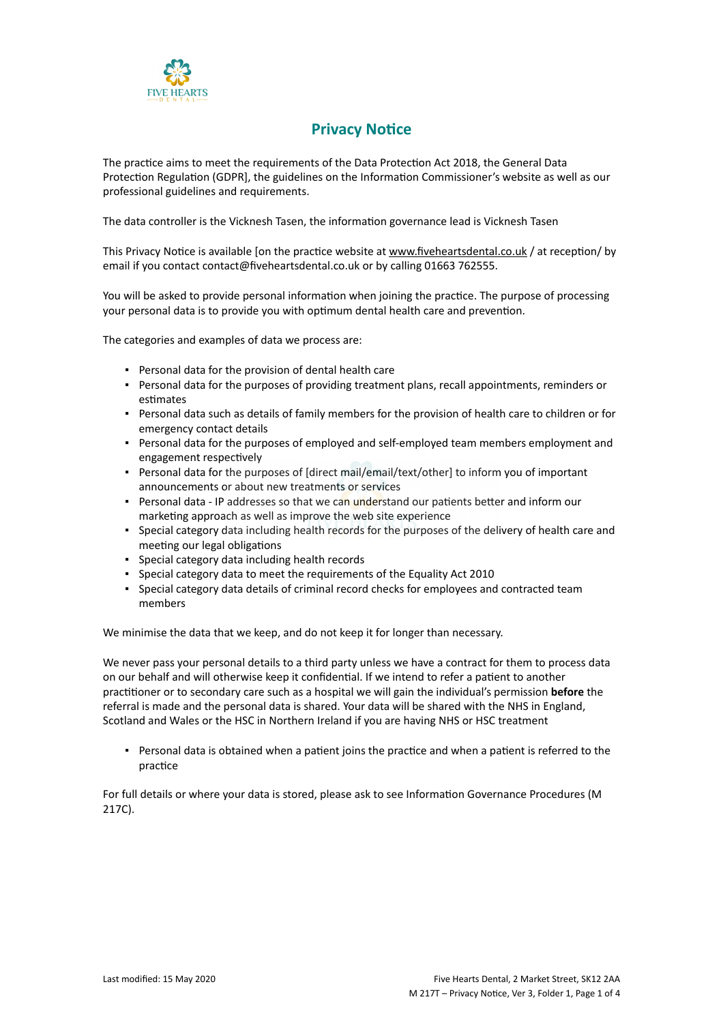

## **Privacy Notice**

The practice aims to meet the requirements of the Data Protection Act 2018, the General Data Protection Regulation (GDPR], the guidelines on the Information Commissioner's website as well as our professional guidelines and requirements.

The data controller is the Vicknesh Tasen, the information governance lead is Vicknesh Tasen

This Privacy Notice is available [on the practice website at [www.fiveheartsdental.co.uk](http://www.practice.com/) / at reception/ by email if you contact contact@fiveheartsdental.co.uk or by calling 01663 762555.

You will be asked to provide personal information when joining the practice. The purpose of processing your personal data is to provide you with optimum dental health care and prevention.

The categories and examples of data we process are:

- Personal data for the provision of dental health care
- Personal data for the purposes of providing treatment plans, recall appointments, reminders or estimates
- Personal data such as details of family members for the provision of health care to children or for emergency contact details
- Personal data for the purposes of employed and self-employed team members employment and engagement respectively
- Personal data for the purposes of [direct mail/email/text/other] to inform you of important announcements or about new treatments or services
- **Personal data IP addresses so that we can understand our patients better and inform our** marketing approach as well as improve the web site experience
- Special category data including health records for the purposes of the delivery of health care and meeting our legal obligations
- Special category data including health records
- Special category data to meet the requirements of the Equality Act 2010
- Special category data details of criminal record checks for employees and contracted team members

We minimise the data that we keep, and do not keep it for longer than necessary.

We never pass your personal details to a third party unless we have a contract for them to process data on our behalf and will otherwise keep it confidential. If we intend to refer a patient to another practitioner or to secondary care such as a hospital we will gain the individual's permission **before** the referral is made and the personal data is shared. Your data will be shared with the NHS in England, Scotland and Wales or the HSC in Northern Ireland if you are having NHS or HSC treatment

▪ Personal data is obtained when a patient joins the practice and when a patient is referred to the practice

For full details or where your data is stored, please ask to see Information Governance Procedures (M 217C).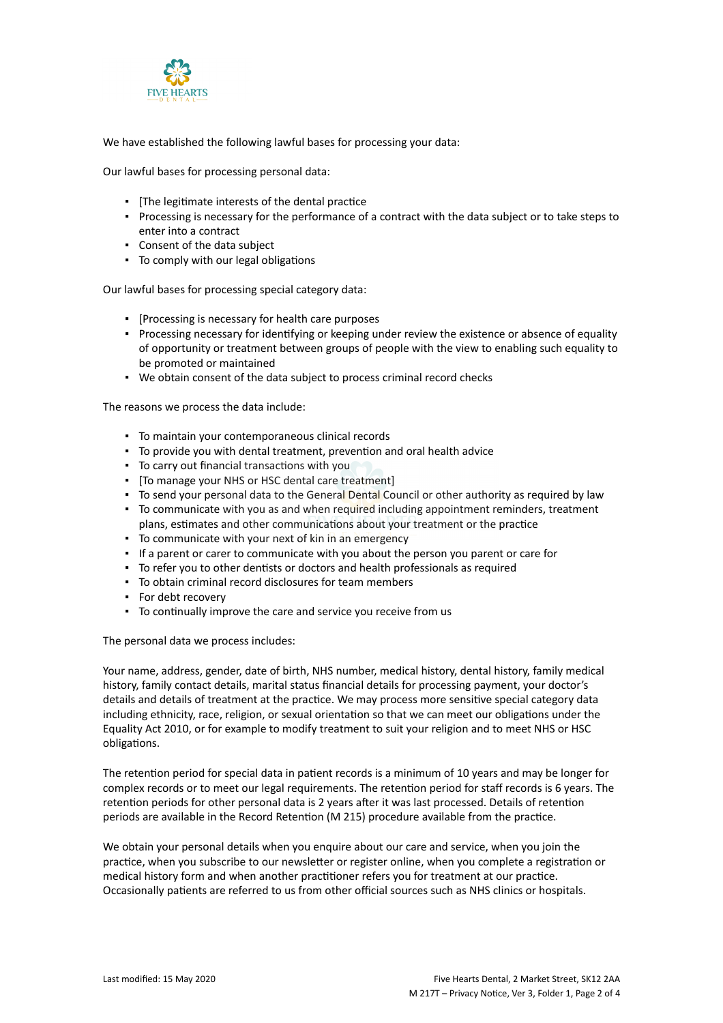

We have established the following lawful bases for processing your data:

Our lawful bases for processing personal data:

- [The legitimate interests of the dental practice
- Processing is necessary for the performance of a contract with the data subject or to take steps to enter into a contract
- Consent of the data subject
- To comply with our legal obligations

Our lawful bases for processing special category data:

- [Processing is necessary for health care purposes
- Processing necessary for identifying or keeping under review the existence or absence of equality of opportunity or treatment between groups of people with the view to enabling such equality to be promoted or maintained
- We obtain consent of the data subject to process criminal record checks

The reasons we process the data include:

- To maintain your contemporaneous clinical records
- To provide you with dental treatment, prevention and oral health advice
- To carry out financial transactions with you
- [To manage your NHS or HSC dental care treatment]
- **To send your personal data to the General Dental Council or other authority as required by law**
- To communicate with you as and when required including appointment reminders, treatment plans, estimates and other communications about your treatment or the practice
- To communicate with your next of kin in an emergency
- If a parent or carer to communicate with you about the person you parent or care for
- To refer you to other dentists or doctors and health professionals as required
- To obtain criminal record disclosures for team members
- For debt recovery
- To continually improve the care and service you receive from us

The personal data we process includes:

Your name, address, gender, date of birth, NHS number, medical history, dental history, family medical history, family contact details, marital status financial details for processing payment, your doctor's details and details of treatment at the practice. We may process more sensitive special category data including ethnicity, race, religion, or sexual orientation so that we can meet our obligations under the Equality Act 2010, or for example to modify treatment to suit your religion and to meet NHS or HSC obligations.

The retention period for special data in patient records is a minimum of 10 years and may be longer for complex records or to meet our legal requirements. The retention period for staff records is 6 years. The retention periods for other personal data is 2 years after it was last processed. Details of retention periods are available in the Record Retention (M 215) procedure available from the practice.

We obtain your personal details when you enquire about our care and service, when you join the practice, when you subscribe to our newsletter or register online, when you complete a registration or medical history form and when another practitioner refers you for treatment at our practice. Occasionally patients are referred to us from other official sources such as NHS clinics or hospitals.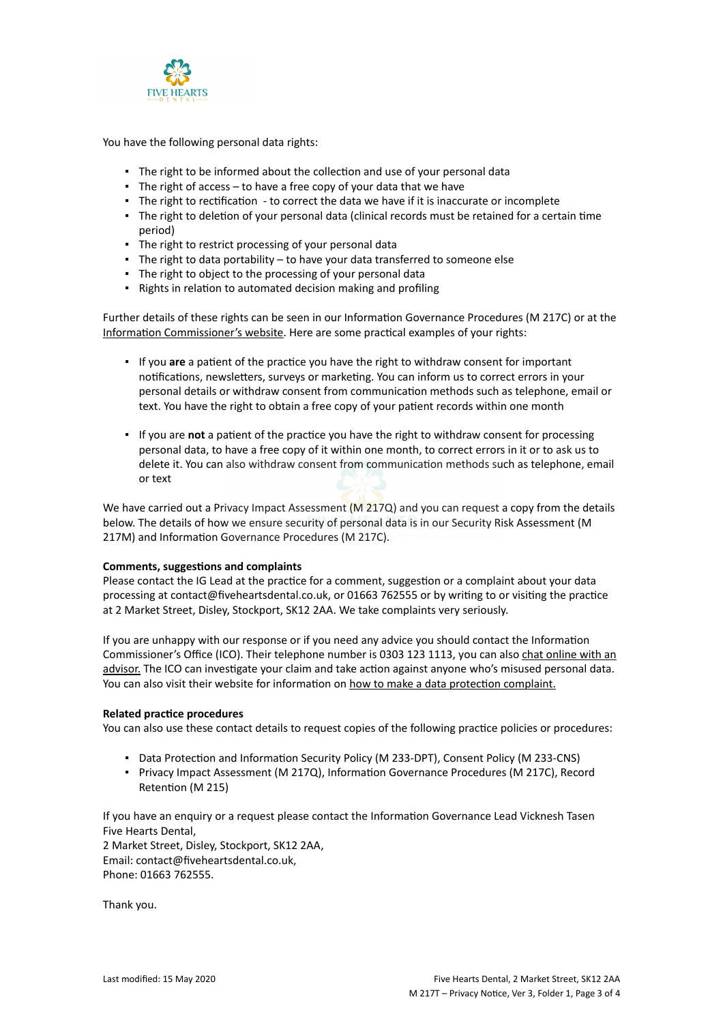

You have the following personal data rights:

- **.** The right to be informed about the collection and use of your personal data
- $\blacksquare$  The right of access  $-$  to have a free copy of your data that we have
- The right to rectification to correct the data we have if it is inaccurate or incomplete
- The right to deletion of your personal data (clinical records must be retained for a certain time period)
- The right to restrict processing of your personal data
- The right to data portability to have your data transferred to someone else
- The right to object to the processing of your personal data
- Rights in relation to automated decision making and profiling

Further details of these rights can be seen in our Information Governance Procedures (M 217C) or at the [Information Commissioner's website](https://ico.org.uk/for-organisations/guide-to-the-general-data-protection-regulation-gdpr/individual-rights/). Here are some practical examples of your rights:

- If you **are** a patient of the practice you have the right to withdraw consent for important notifications, newsletters, surveys or marketing. You can inform us to correct errors in your personal details or withdraw consent from communication methods such as telephone, email or text. You have the right to obtain a free copy of your patient records within one month
- If you are **not** a patient of the practice you have the right to withdraw consent for processing personal data, to have a free copy of it within one month, to correct errors in it or to ask us to delete it. You can also withdraw consent from communication methods such as telephone, email or text

We have carried out a Privacy Impact Assessment (M 217Q) and you can request a copy from the details below. The details of how we ensure security of personal data is in our Security Risk Assessment (M 217M) and Information Governance Procedures (M 217C).

## **Comments, suggestions and complaints**

Please contact the IG Lead at the practice for a comment, suggestion or a complaint about your data processing at contact@fiveheartsdental.co.uk, or 01663 762555 or by writing to or visiting the practice at 2 Market Street, Disley, Stockport, SK12 2AA. We take complaints very seriously.

If you are unhappy with our response or if you need any advice you should contact the Information Commissioner's Office (ICO). Their telephone number is 0303 123 1113, you can also [chat online with an](https://ico.org.uk/global/contact-us/live-chat/) [advisor.](https://ico.org.uk/global/contact-us/live-chat/) The ICO can investigate your claim and take action against anyone who's misused personal data. You can also visit their website for information on [how to make a data protection complaint.](http://www.ico.org.uk/complaints)

## **Related practice procedures**

You can also use these contact details to request copies of the following practice policies or procedures:

- Data Protection and Information Security Policy (M 233-DPT), Consent Policy (M 233-CNS)
- Privacy Impact Assessment (M 217Q), Information Governance Procedures (M 217C), Record Retention (M 215)

If you have an enquiry or a request please contact the Information Governance Lead Vicknesh Tasen Five Hearts Dental,

2 Market Street, Disley, Stockport, SK12 2AA, Email: contact@fiveheartsdental.co.uk, Phone: 01663 762555.

Thank you.